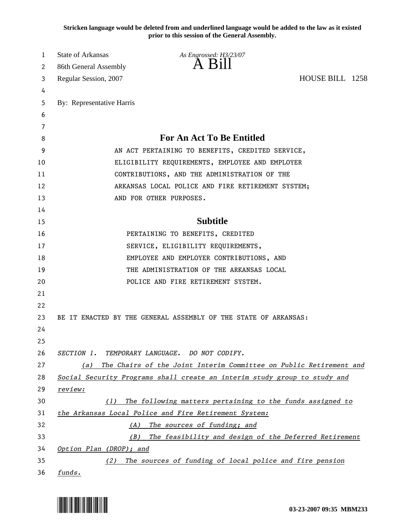**Stricken language would be deleted from and underlined language would be added to the law as it existed prior to this session of the General Assembly.**

| 1  | <b>State of Arkansas</b>                          | As Engrossed: H3/23/07                                                    |                 |  |
|----|---------------------------------------------------|---------------------------------------------------------------------------|-----------------|--|
| 2  | 86th General Assembly                             | $A$ Bill                                                                  |                 |  |
| 3  | Regular Session, 2007                             |                                                                           | HOUSE BILL 1258 |  |
| 4  |                                                   |                                                                           |                 |  |
| 5  | By: Representative Harris                         |                                                                           |                 |  |
| 6  |                                                   |                                                                           |                 |  |
| 7  |                                                   |                                                                           |                 |  |
| 8  | <b>For An Act To Be Entitled</b>                  |                                                                           |                 |  |
| 9  | AN ACT PERTAINING TO BENEFITS, CREDITED SERVICE,  |                                                                           |                 |  |
| 10 | ELIGIBILITY REQUIREMENTS, EMPLOYEE AND EMPLOYER   |                                                                           |                 |  |
| 11 | CONTRIBUTIONS, AND THE ADMINISTRATION OF THE      |                                                                           |                 |  |
| 12 | ARKANSAS LOCAL POLICE AND FIRE RETIREMENT SYSTEM; |                                                                           |                 |  |
| 13 |                                                   | AND FOR OTHER PURPOSES.                                                   |                 |  |
| 14 |                                                   |                                                                           |                 |  |
| 15 |                                                   | <b>Subtitle</b>                                                           |                 |  |
| 16 |                                                   | PERTAINING TO BENEFITS, CREDITED                                          |                 |  |
| 17 |                                                   | SERVICE, ELIGIBILITY REQUIREMENTS,                                        |                 |  |
| 18 |                                                   | EMPLOYEE AND EMPLOYER CONTRIBUTIONS, AND                                  |                 |  |
| 19 |                                                   | THE ADMINISTRATION OF THE ARKANSAS LOCAL                                  |                 |  |
| 20 |                                                   | POLICE AND FIRE RETIREMENT SYSTEM.                                        |                 |  |
| 21 |                                                   |                                                                           |                 |  |
| 22 |                                                   |                                                                           |                 |  |
| 23 |                                                   | BE IT ENACTED BY THE GENERAL ASSEMBLY OF THE STATE OF ARKANSAS:           |                 |  |
| 24 |                                                   |                                                                           |                 |  |
| 25 |                                                   |                                                                           |                 |  |
| 26 |                                                   | SECTION 1. TEMPORARY LANGUAGE. DO NOT CODIFY.                             |                 |  |
| 27 | (a)                                               | The Chairs of the Joint Interim Committee on Public Retirement and        |                 |  |
| 28 |                                                   | Social Security Programs shall create an interim study group to study and |                 |  |
| 29 | review:                                           |                                                                           |                 |  |
| 30 | (1)                                               | The following matters pertaining to the funds assigned to                 |                 |  |
| 31 |                                                   | the Arkansas Local Police and Fire Retirement System:                     |                 |  |
| 32 | (A)                                               | The sources of funding; and                                               |                 |  |
| 33 |                                                   | (B) The feasibility and design of the Deferred Retirement                 |                 |  |
| 34 | Option Plan (DROP); and                           |                                                                           |                 |  |
| 35 |                                                   | (2) The sources of funding of local police and fire pension               |                 |  |
| 36 | funds.                                            |                                                                           |                 |  |